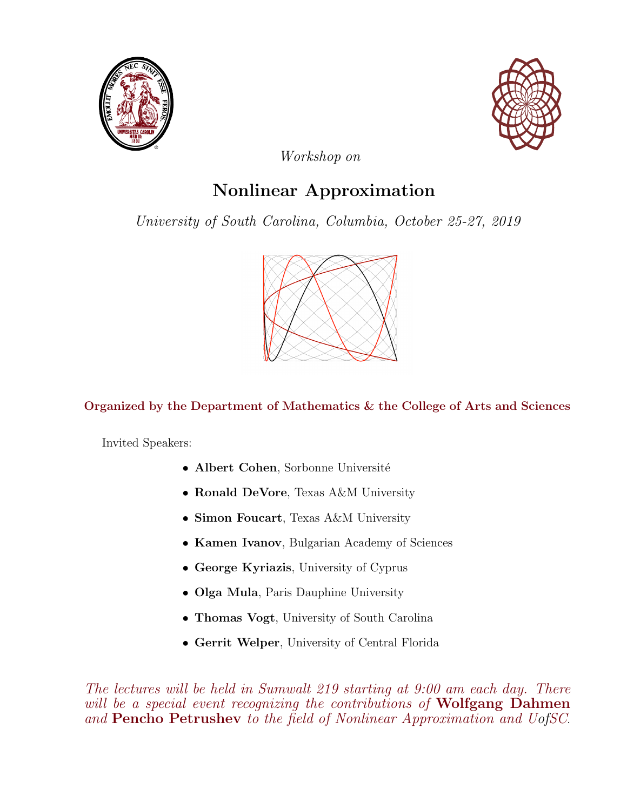



Workshop on

## Nonlinear Approximation

University of South Carolina, Columbia, October 25-27, 2019



## Organized by the Department of Mathematics & the College of Arts and Sciences

Invited Speakers:

- Albert Cohen, Sorbonne Université
- Ronald DeVore, Texas A&M University
- Simon Foucart, Texas A&M University
- Kamen Ivanov, Bulgarian Academy of Sciences
- George Kyriazis, University of Cyprus
- Olga Mula, Paris Dauphine University
- Thomas Vogt, University of South Carolina
- Gerrit Welper, University of Central Florida

The lectures will be held in Sumwalt 219 starting at 9:00 am each day. There will be a special event recognizing the contributions of **Wolfgang Dahmen** and Pencho Petrushev to the field of Nonlinear Approximation and UofSC.